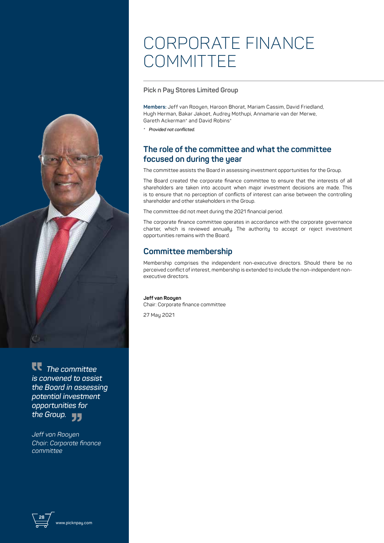## CORPORATE FINANCE **COMMITTEE**

**Pick n Pay Stores Limited Group**

**Members:** Jeff van Rooyen, Haroon Bhorat, Mariam Cassim, David Friedland, Hugh Herman, Bakar Jakoet, Audrey Mothupi, Annamarie van der Merwe, Gareth Ackerman\* and David Robins\*

*\* Provided not conflicted.*

## **The role of the committee and what the committee focused on during the year**

The committee assists the Board in assessing investment opportunities for the Group.

The Board created the corporate finance committee to ensure that the interests of all shareholders are taken into account when major investment decisions are made. This is to ensure that no perception of conflicts of interest can arise between the controlling shareholder and other stakeholders in the Group.

The committee did not meet during the 2021 financial period.

The corporate finance committee operates in accordance with the corporate governance charter, which is reviewed annually. The authority to accept or reject investment opportunities remains with the Board.

## **Committee membership**

Membership comprises the independent non-executive directors. Should there be no perceived conflict of interest, membership is extended to include the non-independent nonexecutive directors.

## **Jeff van Rooyen**

Chair: Corporate finance committee

27 May 2021

 *The committee is convened to assist the Board in assessing potential investment opportunities for the Group.*

*Jeff van Rooyen Chair*: *Corporate finance committee*